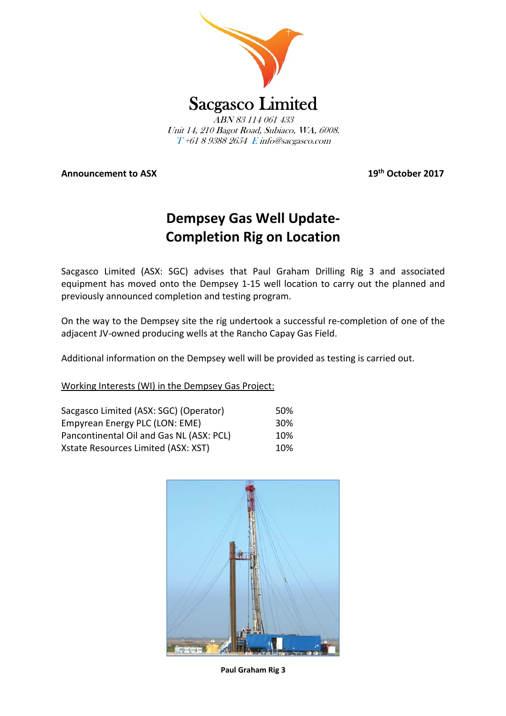

**Announcement to ASX 19th October 2017**

## **Dempsey Gas Well Update‐ Completion Rig on Location**

Sacgasco Limited (ASX: SGC) advises that Paul Graham Drilling Rig 3 and associated equipment has moved onto the Dempsey 1‐15 well location to carry out the planned and previously announced completion and testing program.

On the way to the Dempsey site the rig undertook a successful re‐completion of one of the adjacent JV‐owned producing wells at the Rancho Capay Gas Field.

Additional information on the Dempsey well will be provided as testing is carried out.

Working Interests (WI) in the Dempsey Gas Project:

| Sacgasco Limited (ASX: SGC) (Operator)   | .50%            |
|------------------------------------------|-----------------|
| Empyrean Energy PLC (LON: EME)           | 30 <sup>%</sup> |
| Pancontinental Oil and Gas NL (ASX: PCL) | 10%             |
| Xstate Resources Limited (ASX: XST)      | 10%             |



**Paul Graham Rig 3**